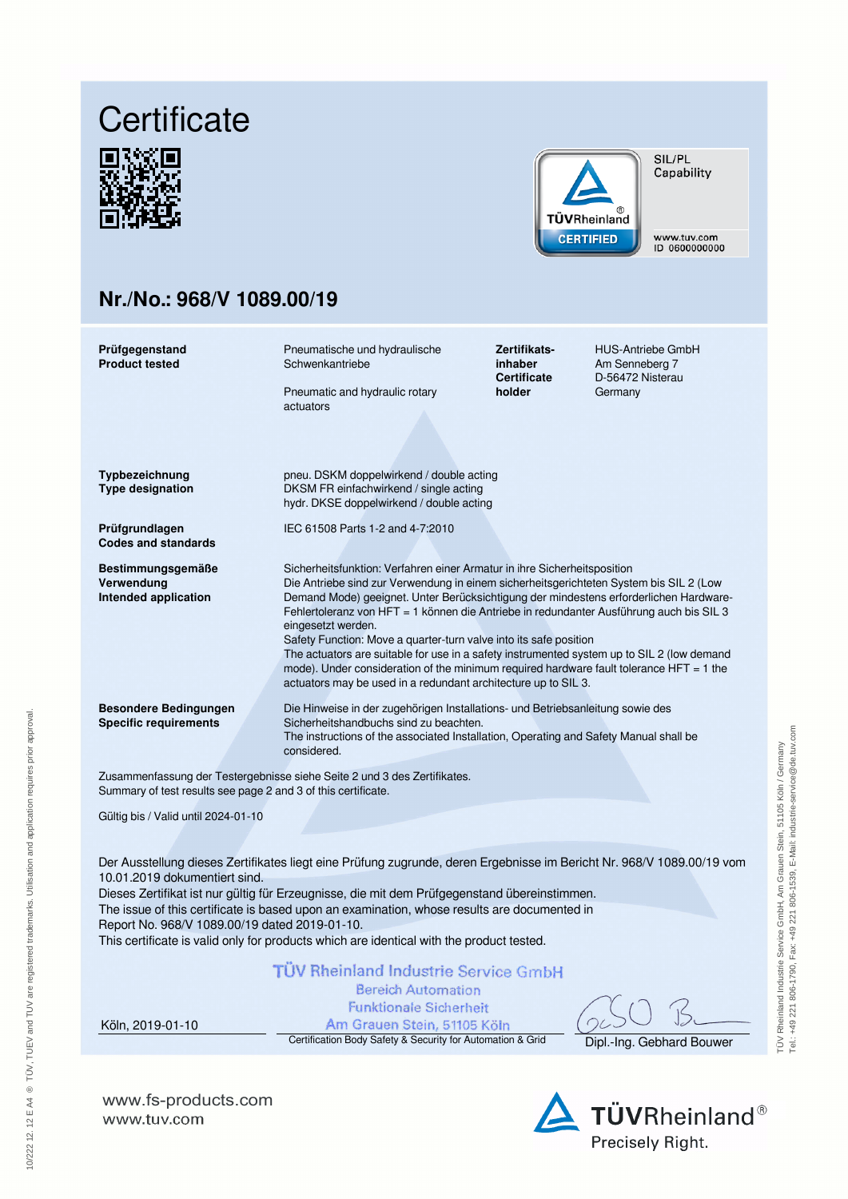# **Certificate**





SIL/PL Capability

www.tuv.com ID 0600000000

# **Nr./No.: 968/V 1089.00/19**

| Prüfgegenstand<br><b>Product tested</b>                                                                                                   | Pneumatische und hydraulische<br>Schwenkantriebe<br>Pneumatic and hydraulic rotary<br>actuators                                                                                                                                                                                                                                                                                                                                                                                                                                                                                                                                                                                                                | Zertifikats-<br>inhaber<br><b>Certificate</b><br>holder | <b>HUS-Antriebe GmbH</b><br>Am Senneberg 7<br>D-56472 Nisterau<br>Germany |  |  |
|-------------------------------------------------------------------------------------------------------------------------------------------|----------------------------------------------------------------------------------------------------------------------------------------------------------------------------------------------------------------------------------------------------------------------------------------------------------------------------------------------------------------------------------------------------------------------------------------------------------------------------------------------------------------------------------------------------------------------------------------------------------------------------------------------------------------------------------------------------------------|---------------------------------------------------------|---------------------------------------------------------------------------|--|--|
| Typbezeichnung<br><b>Type designation</b>                                                                                                 | pneu. DSKM doppelwirkend / double acting<br>DKSM FR einfachwirkend / single acting<br>hydr. DKSE doppelwirkend / double acting                                                                                                                                                                                                                                                                                                                                                                                                                                                                                                                                                                                 |                                                         |                                                                           |  |  |
| Prüfgrundlagen<br><b>Codes and standards</b>                                                                                              | IEC 61508 Parts 1-2 and 4-7:2010                                                                                                                                                                                                                                                                                                                                                                                                                                                                                                                                                                                                                                                                               |                                                         |                                                                           |  |  |
| Bestimmungsgemäße<br>Verwendung<br>Intended application                                                                                   | Sicherheitsfunktion: Verfahren einer Armatur in ihre Sicherheitsposition<br>Die Antriebe sind zur Verwendung in einem sicherheitsgerichteten System bis SIL 2 (Low<br>Demand Mode) geeignet. Unter Berücksichtigung der mindestens erforderlichen Hardware-<br>Fehlertoleranz von HFT = 1 können die Antriebe in redundanter Ausführung auch bis SIL 3<br>eingesetzt werden.<br>Safety Function: Move a quarter-turn valve into its safe position<br>The actuators are suitable for use in a safety instrumented system up to SIL 2 (low demand<br>mode). Under consideration of the minimum required hardware fault tolerance $HFT = 1$ the<br>actuators may be used in a redundant architecture up to SIL 3. |                                                         |                                                                           |  |  |
| <b>Besondere Bedingungen</b><br><b>Specific requirements</b>                                                                              | Die Hinweise in der zugehörigen Installations- und Betriebsanleitung sowie des<br>Sicherheitshandbuchs sind zu beachten.<br>The instructions of the associated Installation, Operating and Safety Manual shall be<br>considered.                                                                                                                                                                                                                                                                                                                                                                                                                                                                               |                                                         |                                                                           |  |  |
| Zusammenfassung der Testergebnisse siehe Seite 2 und 3 des Zertifikates.<br>Summary of test results see page 2 and 3 of this certificate. |                                                                                                                                                                                                                                                                                                                                                                                                                                                                                                                                                                                                                                                                                                                |                                                         |                                                                           |  |  |
| Gültig bis / Valid until 2024-01-10                                                                                                       |                                                                                                                                                                                                                                                                                                                                                                                                                                                                                                                                                                                                                                                                                                                |                                                         |                                                                           |  |  |

Der Ausstellung dieses Zertifikates liegt eine Prüfung zugrunde, deren Ergebnisse im Bericht Nr. 968/V 1089.00/19 vom 10.01.2019 dokumentiert sind.

Dieses Zertifikat ist nur gültig für Erzeugnisse, die mit dem Prüfgegenstand übereinstimmen. The issue of this certificate is based upon an examination, whose results are documented in Report No. 968/V 1089.00/19 dated 2019-01-10.

This certificate is valid only for products which are identical with the product tested.

# **TÜV Rheinland Industrie Service GmbH**

**Bereich Automation** 

**Funktionale Sicherheit** Am Grauen Stein, 51105 Köln

Köln, 2019-01-10

Certification Body Safety & Security for Automation & Grid Dipl.-Ing. Gebhard Bouwer

**www.fs-products.com** www.tuv.com

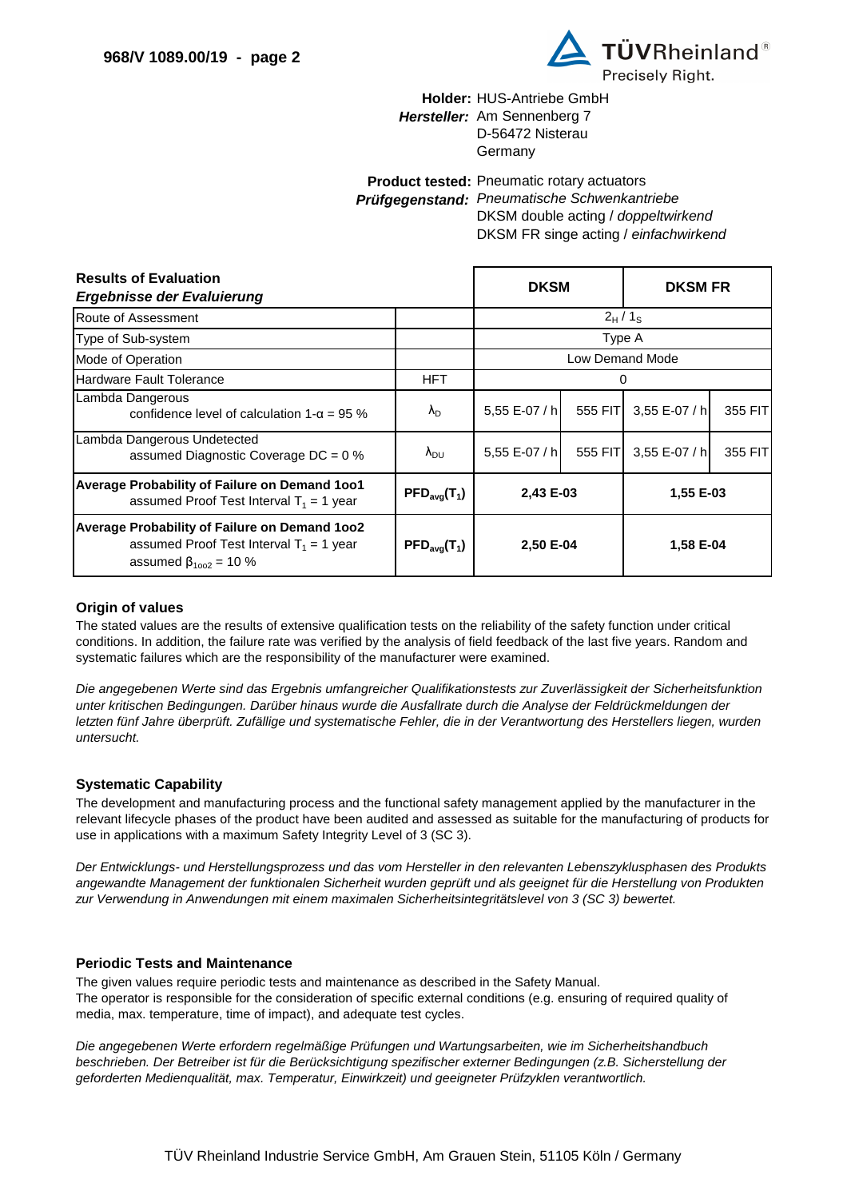

# Holder: HUS-Antriebe GmbH Hersteller: Am Sennenberg 7 D-56472 Nisterau Germany

Product tested: Pneumatic rotary actuators Prüfgegenstand: Pneumatische Schwenkantriebe

DKSM double acting / doppeltwirkend DKSM FR singe acting / einfachwirkend

| <b>Results of Evaluation</b><br>Ergebnisse der Evaluierung                                                               | <b>DKSM</b>                               |                        | <b>DKSM FR</b> |               |         |
|--------------------------------------------------------------------------------------------------------------------------|-------------------------------------------|------------------------|----------------|---------------|---------|
| Route of Assessment                                                                                                      |                                           | $2_H/1_S$              |                |               |         |
| Type of Sub-system                                                                                                       |                                           | Type A                 |                |               |         |
| Mode of Operation                                                                                                        |                                           | <b>Low Demand Mode</b> |                |               |         |
| Hardware Fault Tolerance                                                                                                 | <b>HFT</b>                                |                        |                |               |         |
| Lambda Dangerous<br>confidence level of calculation $1 - \alpha = 95$ %                                                  | $\lambda_{\rm D}$                         | 5,55 E-07 / h          | 555 FIT        | 3,55 E-07 / h | 355 FIT |
| Lambda Dangerous Undetected<br>assumed Diagnostic Coverage $DC = 0$ %                                                    | $\lambda_{\rm DU}$                        | 5,55 E-07 / h          | 555 FIT        | 3,55 E-07 / h | 355 FIT |
| Average Probability of Failure on Demand 1001<br>assumed Proof Test Interval $T_1 = 1$ year                              | $\mathsf{PFD}_{\text{avg}}(\mathsf{T}_1)$ | 2,43 E-03              |                | 1,55 E-03     |         |
| Average Probability of Failure on Demand 1002<br>assumed Proof Test Interval $T_1 = 1$ year<br>assumed $β_{1002} = 10 %$ | $\mathsf{PFD}_{\text{avg}}(\mathsf{T}_1)$ | 2,50 E-04              |                | 1,58 E-04     |         |

## **Origin of values**

The stated values are the results of extensive qualification tests on the reliability of the safety function under critical conditions. In addition, the failure rate was verified by the analysis of field feedback of the last five years. Random and systematic failures which are the responsibility of the manufacturer were examined.

Die angegebenen Werte sind das Ergebnis umfangreicher Qualifikationstests zur Zuverlässigkeit der Sicherheitsfunktion unter kritischen Bedingungen. Darüber hinaus wurde die Ausfallrate durch die Analyse der Feldrückmeldungen der letzten fünf Jahre überprüft. Zufällige und systematische Fehler, die in der Verantwortung des Herstellers liegen, wurden untersucht.

# **Systematic Capability**

The development and manufacturing process and the functional safety management applied by the manufacturer in the relevant lifecycle phases of the product have been audited and assessed as suitable for the manufacturing of products for use in applications with a maximum Safety Integrity Level of 3 (SC 3).

Der Entwicklungs- und Herstellungsprozess und das vom Hersteller in den relevanten Lebenszyklusphasen des Produkts angewandte Management der funktionalen Sicherheit wurden geprüft und als geeignet für die Herstellung von Produkten zur Verwendung in Anwendungen mit einem maximalen Sicherheitsintegritätslevel von 3 (SC 3) bewertet.

#### **Periodic Tests and Maintenance**

The given values require periodic tests and maintenance as described in the Safety Manual. The operator is responsible for the consideration of specific external conditions (e.g. ensuring of required quality of media, max. temperature, time of impact), and adequate test cycles.

Die angegebenen Werte erfordern regelmäßige Prüfungen und Wartungsarbeiten, wie im Sicherheitshandbuch beschrieben. Der Betreiber ist für die Berücksichtigung spezifischer externer Bedingungen (z.B. Sicherstellung der geforderten Medienqualität, max. Temperatur, Einwirkzeit) und geeigneter Prüfzyklen verantwortlich.